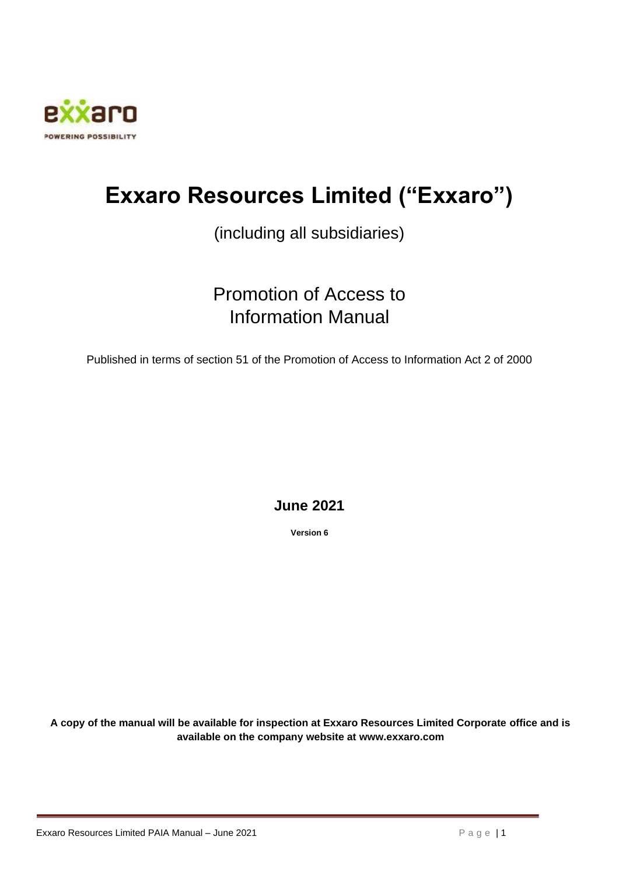

# **Exxaro Resources Limited ("Exxaro")**

# (including all subsidiaries)

# Promotion of Access to Information Manual

Published in terms of section 51 of the Promotion of Access to Information Act 2 of 2000

# **June 2021**

**Version 6**

**A copy of the manual will be available for inspection at Exxaro Resources Limited Corporate office and is available on the company website at www.exxaro.com**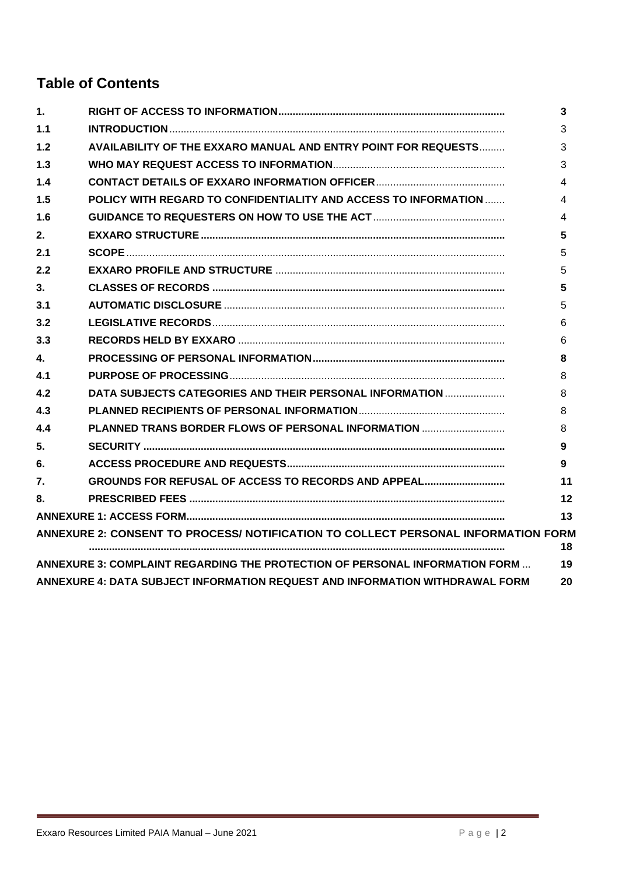# **Table of Contents**

| 1.  |                                                                                   | 3  |
|-----|-----------------------------------------------------------------------------------|----|
| 1.1 |                                                                                   | 3  |
| 1.2 | <b>AVAILABILITY OF THE EXXARO MANUAL AND ENTRY POINT FOR REQUESTS</b>             | 3  |
| 1.3 |                                                                                   | 3  |
| 1.4 |                                                                                   | 4  |
| 1.5 | POLICY WITH REGARD TO CONFIDENTIALITY AND ACCESS TO INFORMATION                   | 4  |
| 1.6 |                                                                                   | 4  |
| 2.  |                                                                                   | 5  |
| 2.1 |                                                                                   | 5  |
| 2.2 |                                                                                   | 5  |
| 3.  |                                                                                   | 5  |
| 3.1 |                                                                                   | 5  |
| 3.2 |                                                                                   | 6  |
| 3.3 |                                                                                   | 6  |
| 4.  |                                                                                   | 8  |
| 4.1 |                                                                                   | 8  |
| 4.2 | DATA SUBJECTS CATEGORIES AND THEIR PERSONAL INFORMATION                           | 8  |
| 4.3 |                                                                                   | 8  |
| 4.4 | PLANNED TRANS BORDER FLOWS OF PERSONAL INFORMATION                                | 8  |
| 5.  |                                                                                   | 9  |
| 6.  |                                                                                   | 9  |
| 7.  | GROUNDS FOR REFUSAL OF ACCESS TO RECORDS AND APPEAL                               | 11 |
| 8.  |                                                                                   | 12 |
|     |                                                                                   | 13 |
|     | ANNEXURE 2: CONSENT TO PROCESS/ NOTIFICATION TO COLLECT PERSONAL INFORMATION FORM | 18 |
|     | ANNEXURE 3: COMPLAINT REGARDING THE PROTECTION OF PERSONAL INFORMATION FORM       | 19 |
|     | ANNEXURE 4: DATA SUBJECT INFORMATION REQUEST AND INFORMATION WITHDRAWAL FORM      | 20 |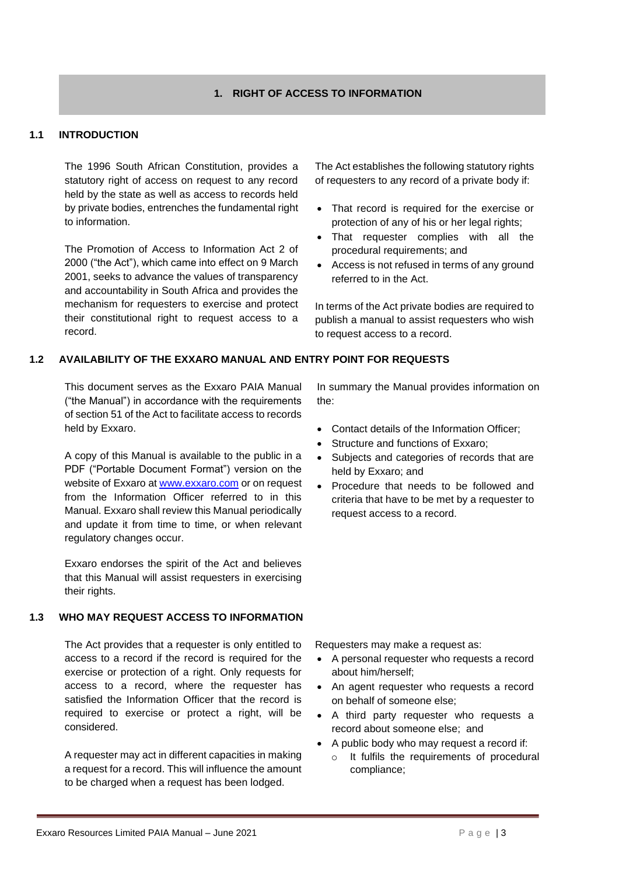#### **1. RIGHT OF ACCESS TO INFORMATION**

#### <span id="page-2-1"></span><span id="page-2-0"></span>**1.1 INTRODUCTION**

The 1996 South African Constitution, provides a statutory right of access on request to any record held by the state as well as access to records held by private bodies, entrenches the fundamental right to information.

The Promotion of Access to Information Act 2 of 2000 ("the Act"), which came into effect on 9 March 2001, seeks to advance the values of transparency and accountability in South Africa and provides the mechanism for requesters to exercise and protect their constitutional right to request access to a record.

The Act establishes the following statutory rights of requesters to any record of a private body if:

- That record is required for the exercise or protection of any of his or her legal rights;
- That requester complies with all the procedural requirements; and
- Access is not refused in terms of any ground referred to in the Act.

In terms of the Act private bodies are required to publish a manual to assist requesters who wish to request access to a record.

#### <span id="page-2-2"></span>**1.2 AVAILABILITY OF THE EXXARO MANUAL AND ENTRY POINT FOR REQUESTS**

This document serves as the Exxaro PAIA Manual ("the Manual") in accordance with the requirements of section 51 of the Act to facilitate access to records held by Exxaro.

A copy of this Manual is available to the public in a PDF ("Portable Document Format") version on the website of Exxaro at [www.exxaro.com](http://www.exxaro.com/) or on request from the Information Officer referred to in this Manual. Exxaro shall review this Manual periodically and update it from time to time, or when relevant regulatory changes occur.

Exxaro endorses the spirit of the Act and believes that this Manual will assist requesters in exercising their rights.

#### <span id="page-2-3"></span>**1.3 WHO MAY REQUEST ACCESS TO INFORMATION**

The Act provides that a requester is only entitled to access to a record if the record is required for the exercise or protection of a right. Only requests for access to a record, where the requester has satisfied the Information Officer that the record is required to exercise or protect a right, will be considered.

A requester may act in different capacities in making a request for a record. This will influence the amount to be charged when a request has been lodged.

In summary the Manual provides information on the:

- Contact details of the Information Officer;
- Structure and functions of Exxaro:
- Subjects and categories of records that are held by Exxaro; and
- Procedure that needs to be followed and criteria that have to be met by a requester to request access to a record.

Requesters may make a request as:

- A personal requester who requests a record about him/herself;
- An agent requester who requests a record on behalf of someone else;
- A third party requester who requests a record about someone else; and
- A public body who may request a record if:
	- o It fulfils the requirements of procedural compliance;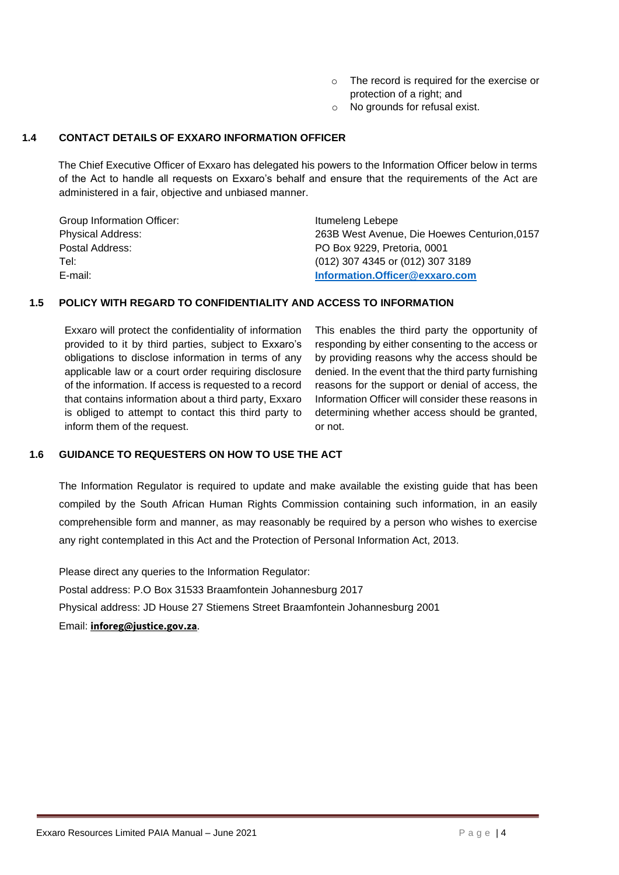- o The record is required for the exercise or protection of a right; and
- o No grounds for refusal exist.

#### <span id="page-3-0"></span>**1.4 CONTACT DETAILS OF EXXARO INFORMATION OFFICER**

The Chief Executive Officer of Exxaro has delegated his powers to the Information Officer below in terms of the Act to handle all requests on Exxaro's behalf and ensure that the requirements of the Act are administered in a fair, objective and unbiased manner.

| Group Information Officer: | Itumeleng Lebepe                             |
|----------------------------|----------------------------------------------|
| <b>Physical Address:</b>   | 263B West Avenue, Die Hoewes Centurion, 0157 |
| Postal Address:            | PO Box 9229, Pretoria, 0001                  |
| Tel:                       | (012) 307 4345 or (012) 307 3189             |
| E-mail:                    | Information.Officer@exxaro.com               |

#### <span id="page-3-1"></span>**1.5 POLICY WITH REGARD TO CONFIDENTIALITY AND ACCESS TO INFORMATION**

Exxaro will protect the confidentiality of information provided to it by third parties, subject to Exxaro's obligations to disclose information in terms of any applicable law or a court order requiring disclosure of the information. If access is requested to a record that contains information about a third party, Exxaro is obliged to attempt to contact this third party to inform them of the request.

This enables the third party the opportunity of responding by either consenting to the access or by providing reasons why the access should be denied. In the event that the third party furnishing reasons for the support or denial of access, the Information Officer will consider these reasons in determining whether access should be granted, or not.

#### <span id="page-3-2"></span>**1.6 GUIDANCE TO REQUESTERS ON HOW TO USE THE ACT**

The Information Regulator is required to update and make available the existing guide that has been compiled by the South African Human Rights Commission containing such information, in an easily comprehensible form and manner, as may reasonably be required by a person who wishes to exercise any right contemplated in this Act and the Protection of Personal Information Act, 2013.

Please direct any queries to the Information Regulator: Postal address: P.O Box 31533 Braamfontein Johannesburg 2017 Physical address: JD House 27 Stiemens Street Braamfontein Johannesburg 2001 Email: **[inforeg@justice.gov.za](https://owa.justice.gov.za/owa/redir.aspx?C=inZ5uQahKFZ27cQNAZqgkxLqk2u5dpip-0xeuVGk-tJa4yFS_0fYCA..&URL=mailto%3ainforeg%40justice.gov.za)**.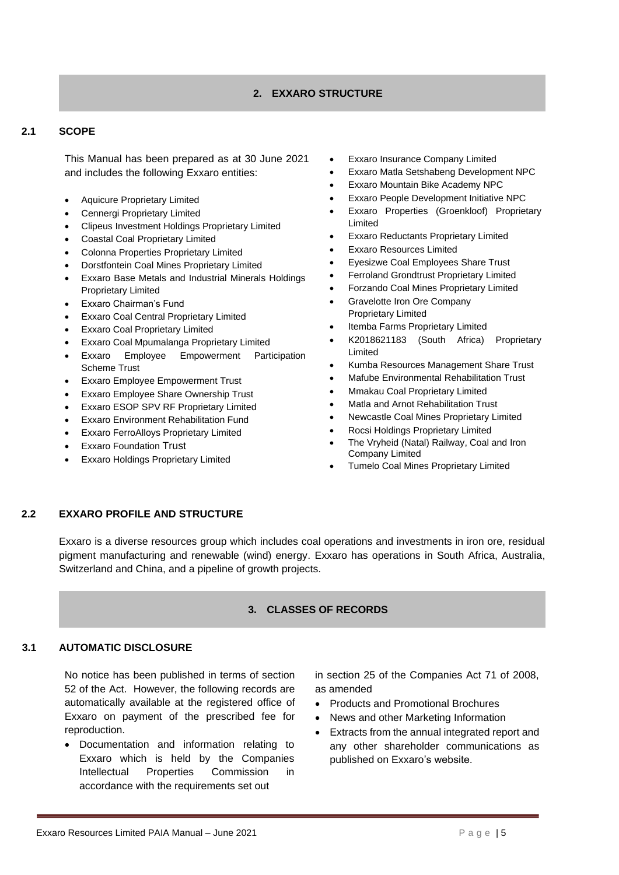#### **2. EXXARO STRUCTURE**

#### <span id="page-4-1"></span><span id="page-4-0"></span>**2.1 SCOPE**

This Manual has been prepared as at 30 June 2021 and includes the following Exxaro entities:

- Aquicure Proprietary Limited
- Cennergi Proprietary Limited
- Clipeus Investment Holdings Proprietary Limited
- Coastal Coal Proprietary Limited
- Colonna Properties Proprietary Limited
- Dorstfontein Coal Mines Proprietary Limited
- Exxaro Base Metals and Industrial Minerals Holdings Proprietary Limited
- Exxaro Chairman's Fund
- Exxaro Coal Central Proprietary Limited
- Exxaro Coal Proprietary Limited
- Exxaro Coal Mpumalanga Proprietary Limited
- Exxaro Employee Empowerment Participation Scheme Trust
- Exxaro Employee Empowerment Trust
- Exxaro Employee Share Ownership Trust
- Exxaro ESOP SPV RF Proprietary Limited
- Exxaro Environment Rehabilitation Fund
- Exxaro FerroAlloys Proprietary Limited
- **Exxaro Foundation Trust**
- Exxaro Holdings Proprietary Limited
- **Exxaro Insurance Company Limited**
- Exxaro Matla Setshabeng Development NPC
- Exxaro Mountain Bike Academy NPC
- Exxaro People Development Initiative NPC
- Exxaro Properties (Groenkloof) Proprietary Limited
- Exxaro Reductants Proprietary Limited
- Exxaro Resources Limited
- Eyesizwe Coal Employees Share Trust
- Ferroland Grondtrust Proprietary Limited
- Forzando Coal Mines Proprietary Limited
- Gravelotte Iron Ore Company Proprietary Limited
- Itemba Farms Proprietary Limited
- K2018621183 (South Africa) Proprietary Limited
- Kumba Resources Management Share Trust
- Mafube Environmental Rehabilitation Trust
- Mmakau Coal Proprietary Limited
- Matla and Arnot Rehabilitation Trust
- Newcastle Coal Mines Proprietary Limited
- Rocsi Holdings Proprietary Limited
- The Vryheid (Natal) Railway, Coal and Iron Company Limited
- Tumelo Coal Mines Proprietary Limited

#### <span id="page-4-2"></span>**2.2 EXXARO PROFILE AND STRUCTURE**

<span id="page-4-3"></span>Exxaro is a diverse resources group which includes coal operations and investments in iron ore, residual pigment manufacturing and renewable (wind) energy. Exxaro has operations in South Africa, Australia, Switzerland and China, and a pipeline of growth projects.

#### **3. CLASSES OF RECORDS**

#### <span id="page-4-4"></span>**3.1 AUTOMATIC DISCLOSURE**

No notice has been published in terms of section 52 of the Act. However, the following records are automatically available at the registered office of Exxaro on payment of the prescribed fee for reproduction.

• Documentation and information relating to Exxaro which is held by the Companies Intellectual Properties Commission in accordance with the requirements set out

in section 25 of the Companies Act 71 of 2008, as amended

- Products and Promotional Brochures
- News and other Marketing Information
- Extracts from the annual integrated report and any other shareholder communications as published on Exxaro's website.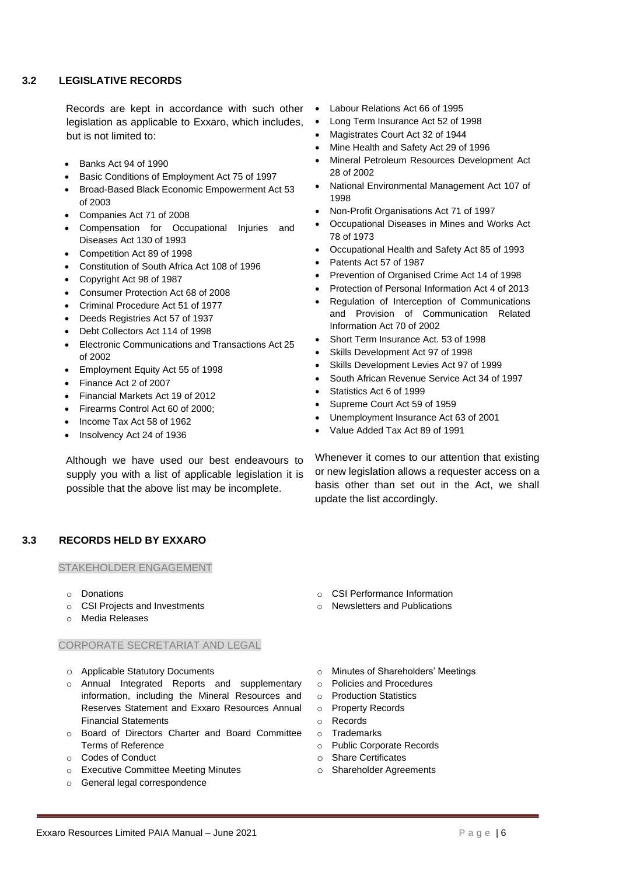#### <span id="page-5-0"></span>**3.2 LEGISLATIVE RECORDS**

Records are kept in accordance with such other legislation as applicable to Exxaro, which includes, but is not limited to:

- Banks Act 94 of 1990
- Basic Conditions of Employment Act 75 of 1997
- Broad-Based Black Economic Empowerment Act 53 of 2003
- Companies Act 71 of 2008
- Compensation for Occupational Injuries and Diseases Act 130 of 1993
- Competition Act 89 of 1998
- Constitution of South Africa Act 108 of 1996
- Copyright Act 98 of 1987
- Consumer Protection Act 68 of 2008
- Criminal Procedure Act 51 of 1977
- Deeds Registries Act 57 of 1937
- Debt Collectors Act 114 of 1998
- Electronic Communications and Transactions Act 25 of 2002
- Employment Equity Act 55 of 1998
- Finance Act 2 of 2007
- Financial Markets Act 19 of 2012
- Firearms Control Act 60 of 2000;
- Income Tax Act 58 of 1962
- Insolvency Act 24 of 1936

Although we have used our best endeavours to supply you with a list of applicable legislation it is possible that the above list may be incomplete.

#### <span id="page-5-1"></span>**3.3 RECORDS HELD BY EXXARO**

STAKEHOLDER ENGAGEMENT

- o Donations
- o CSI Projects and Investments
- o Media Releases

#### CORPORATE SECRETARIAT AND LEGAL

- o Applicable Statutory Documents
- o Annual Integrated Reports and supplementary information, including the Mineral Resources and Reserves Statement and Exxaro Resources Annual Financial Statements
- o Board of Directors Charter and Board Committee Terms of Reference
- o Codes of Conduct
- o Executive Committee Meeting Minutes
- o General legal correspondence
- Labour Relations Act 66 of 1995
- Long Term Insurance Act 52 of 1998
- Magistrates Court Act 32 of 1944
- Mine Health and Safety Act 29 of 1996
- Mineral Petroleum Resources Development Act 28 of 2002
- National Environmental Management Act 107 of 1998
- Non-Profit Organisations Act 71 of 1997
- Occupational Diseases in Mines and Works Act 78 of 1973
- Occupational Health and Safety Act 85 of 1993
- Patents Act 57 of 1987
- Prevention of Organised Crime Act 14 of 1998
- Protection of Personal Information Act 4 of 2013
- Regulation of Interception of Communications and Provision of Communication Related Information Act 70 of 2002
- Short Term Insurance Act. 53 of 1998
- Skills Development Act 97 of 1998
- Skills Development Levies Act 97 of 1999
- South African Revenue Service Act 34 of 1997
- Statistics Act 6 of 1999
- Supreme Court Act 59 of 1959
- Unemployment Insurance Act 63 of 2001
- Value Added Tax Act 89 of 1991

Whenever it comes to our attention that existing or new legislation allows a requester access on a basis other than set out in the Act, we shall update the list accordingly.

o CSI Performance Information o Newsletters and Publications

- o Minutes of Shareholders' Meetings
- o Policies and Procedures
- o Production Statistics
- o Property Records
- o Records
- o Trademarks
- o Public Corporate Records
- o Share Certificates
- o Shareholder Agreements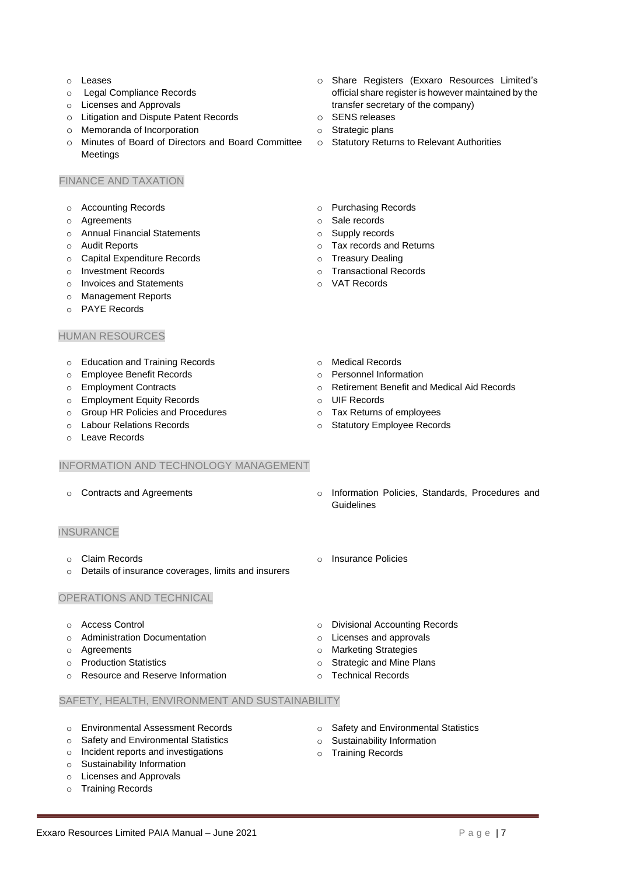- o Leases
- o Legal Compliance Records
- o Licenses and Approvals
- o Litigation and Dispute Patent Records
- o Memoranda of Incorporation
- o Minutes of Board of Directors and Board Committee Meetings

#### FINANCE AND TAXATION

- o Accounting Records
- o Agreements
- o Annual Financial Statements
- o Audit Reports
- o Capital Expenditure Records
- o Investment Records
- o Invoices and Statements
- o Management Reports
- o PAYE Records

#### HUMAN RESOURCES

- o Education and Training Records
- o Employee Benefit Records
- o Employment Contracts
- o Employment Equity Records
- o Group HR Policies and Procedures
- o Labour Relations Records
- o Leave Records

#### INFORMATION AND TECHNOLOGY MANAGEMENT

#### **INSURANCE**

- o Claim Records
- o Details of insurance coverages, limits and insurers

#### OPERATIONS AND TECHNICAL

- o Access Control
- o Administration Documentation
- o Agreements
- o Production Statistics
- o Resource and Reserve Information
- SAFETY, HEALTH, ENVIRONMENT AND SUSTAINABILITY
- o Environmental Assessment Records
- o Safety and Environmental Statistics
- o Incident reports and investigations
- o Sustainability Information
- o Licenses and Approvals
- o Training Records
- o Share Registers (Exxaro Resources Limited's official share register is however maintained by the transfer secretary of the company)
- o SENS releases
- o Strategic plans
- o Statutory Returns to Relevant Authorities
- o Purchasing Records
- o Sale records
- o Supply records
- o Tax records and Returns
- o Treasury Dealing
- o Transactional Records
- o VAT Records
- o Medical Records
- o Personnel Information
- o Retirement Benefit and Medical Aid Records
- o UIF Records
- o Tax Returns of employees
- o Statutory Employee Records
- o Contracts and Agreements o Information Policies, Standards, Procedures and Guidelines
	- o Insurance Policies
	- o Divisional Accounting Records
	- o Licenses and approvals
	- o Marketing Strategies
	- o Strategic and Mine Plans
	- o Technical Records
	- o Safety and Environmental Statistics
	- o Sustainability Information
	- o Training Records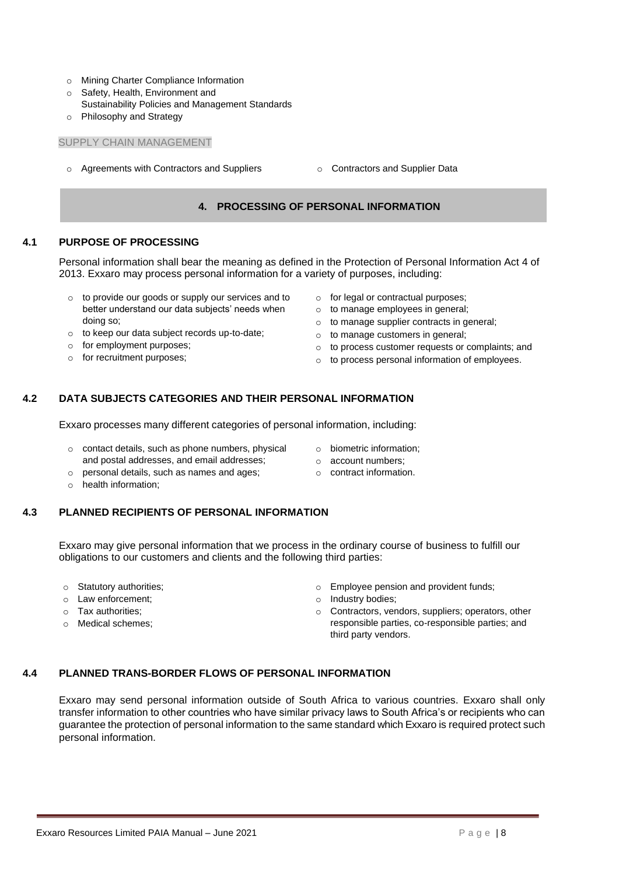- o Mining Charter Compliance Information
- o Safety, Health, Environment and
- Sustainability Policies and Management Standards
- o Philosophy and Strategy

#### SUPPLY CHAIN MANAGEMENT

- <span id="page-7-0"></span> $\circ$  Agreements with Contractors and Suppliers  $\circ$  Contractors and Supplier Data
	-

#### **4. PROCESSING OF PERSONAL INFORMATION**

#### <span id="page-7-1"></span>**4.1 PURPOSE OF PROCESSING**

Personal information shall bear the meaning as defined in the Protection of Personal Information Act 4 of 2013. Exxaro may process personal information for a variety of purposes, including:

- o to provide our goods or supply our services and to better understand our data subjects' needs when doing so;
- o to keep our data subject records up-to-date;
- o for employment purposes;
- o for recruitment purposes;
- o for legal or contractual purposes;
- o to manage employees in general;
- o to manage supplier contracts in general;
- o to manage customers in general;
- o to process customer requests or complaints; and
- o to process personal information of employees.

#### <span id="page-7-2"></span>**4.2 DATA SUBJECTS CATEGORIES AND THEIR PERSONAL INFORMATION**

Exxaro processes many different categories of personal information, including:

- o contact details, such as phone numbers, physical and postal addresses, and email addresses;
- o biometric information;
- o account numbers;
- o personal details, such as names and ages;
- o contract information.

o health information;

#### <span id="page-7-3"></span>**4.3 PLANNED RECIPIENTS OF PERSONAL INFORMATION**

Exxaro may give personal information that we process in the ordinary course of business to fulfill our obligations to our customers and clients and the following third parties:

- o Statutory authorities;
- o Law enforcement;
- o Tax authorities;
- o Medical schemes;
- o Employee pension and provident funds;
- o Industry bodies;
- o Contractors, vendors, suppliers; operators, other responsible parties, co-responsible parties; and third party vendors.

#### <span id="page-7-4"></span>**4.4 PLANNED TRANS-BORDER FLOWS OF PERSONAL INFORMATION**

Exxaro may send personal information outside of South Africa to various countries. Exxaro shall only transfer information to other countries who have similar privacy laws to South Africa's or recipients who can guarantee the protection of personal information to the same standard which Exxaro is required protect such personal information.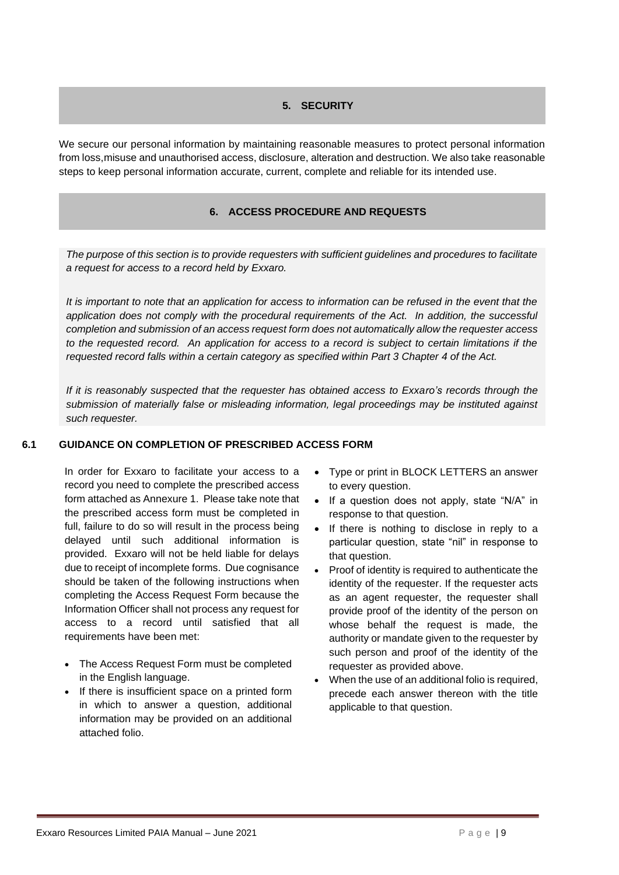#### **5. SECURITY**

<span id="page-8-1"></span><span id="page-8-0"></span>We secure our personal information by maintaining reasonable measures to protect personal information from loss,misuse and unauthorised access, disclosure, alteration and destruction. We also take reasonable steps to keep personal information accurate, current, complete and reliable for its intended use.

#### **6. ACCESS PROCEDURE AND REQUESTS**

*The purpose of this section is to provide requesters with sufficient guidelines and procedures to facilitate a request for access to a record held by Exxaro.* 

*It is important to note that an application for access to information can be refused in the event that the application does not comply with the procedural requirements of the Act. In addition, the successful completion and submission of an access request form does not automatically allow the requester access to the requested record. An application for access to a record is subject to certain limitations if the requested record falls within a certain category as specified within Part 3 Chapter 4 of the Act.* 

*If it is reasonably suspected that the requester has obtained access to Exxaro's records through the submission of materially false or misleading information, legal proceedings may be instituted against such requester.* 

#### **6.1 GUIDANCE ON COMPLETION OF PRESCRIBED ACCESS FORM**

In order for Exxaro to facilitate your access to a record you need to complete the prescribed access form attached as Annexure 1. Please take note that the prescribed access form must be completed in full, failure to do so will result in the process being delayed until such additional information is provided. Exxaro will not be held liable for delays due to receipt of incomplete forms. Due cognisance should be taken of the following instructions when completing the Access Request Form because the Information Officer shall not process any request for access to a record until satisfied that all requirements have been met:

- The Access Request Form must be completed in the English language.
- If there is insufficient space on a printed form in which to answer a question, additional information may be provided on an additional attached folio.
- Type or print in BLOCK LETTERS an answer to every question.
- If a question does not apply, state "N/A" in response to that question.
- If there is nothing to disclose in reply to a particular question, state "nil" in response to that question.
- Proof of identity is required to authenticate the identity of the requester. If the requester acts as an agent requester, the requester shall provide proof of the identity of the person on whose behalf the request is made, the authority or mandate given to the requester by such person and proof of the identity of the requester as provided above.
- When the use of an additional folio is required, precede each answer thereon with the title applicable to that question.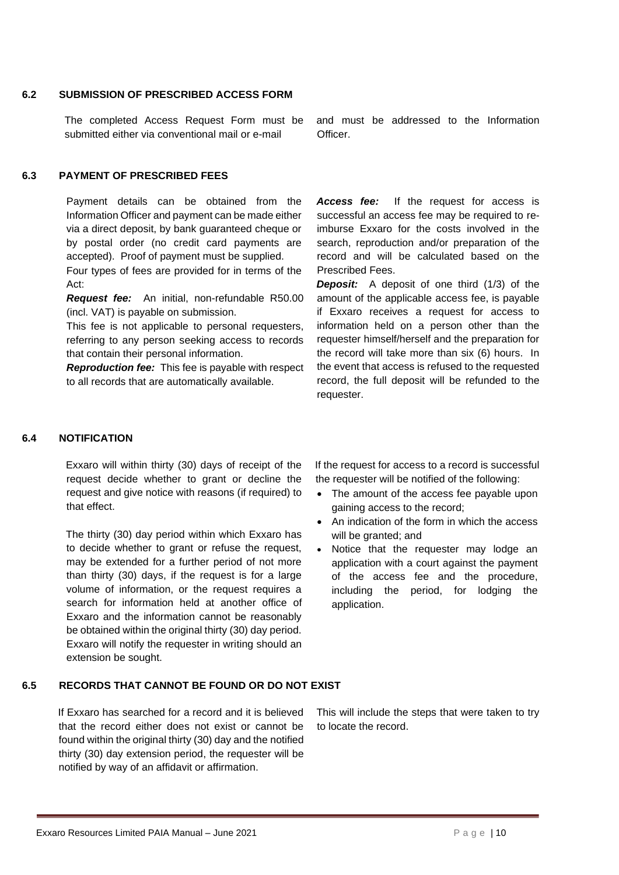#### **6.2 SUBMISSION OF PRESCRIBED ACCESS FORM**

The completed Access Request Form must be submitted either via conventional mail or e-mail

**6.3 PAYMENT OF PRESCRIBED FEES**

Payment details can be obtained from the Information Officer and payment can be made either via a direct deposit, by bank guaranteed cheque or by postal order (no credit card payments are accepted). Proof of payment must be supplied.

Four types of fees are provided for in terms of the Act:

*Request fee:* An initial, non-refundable R50.00 (incl. VAT) is payable on submission.

This fee is not applicable to personal requesters, referring to any person seeking access to records that contain their personal information.

*Reproduction fee:* This fee is payable with respect to all records that are automatically available.

and must be addressed to the Information **Officer** 

Access fee: If the request for access is successful an access fee may be required to reimburse Exxaro for the costs involved in the search, reproduction and/or preparation of the record and will be calculated based on the Prescribed Fees.

*Deposit:* A deposit of one third (1/3) of the amount of the applicable access fee, is payable if Exxaro receives a request for access to information held on a person other than the requester himself/herself and the preparation for the record will take more than six (6) hours. In the event that access is refused to the requested record, the full deposit will be refunded to the requester.

#### **6.4 NOTIFICATION**

Exxaro will within thirty (30) days of receipt of the request decide whether to grant or decline the request and give notice with reasons (if required) to that effect.

The thirty (30) day period within which Exxaro has to decide whether to grant or refuse the request, may be extended for a further period of not more than thirty (30) days, if the request is for a large volume of information, or the request requires a search for information held at another office of Exxaro and the information cannot be reasonably be obtained within the original thirty (30) day period. Exxaro will notify the requester in writing should an extension be sought.

If the request for access to a record is successful the requester will be notified of the following:

- The amount of the access fee payable upon gaining access to the record;
- An indication of the form in which the access will be granted; and
- Notice that the requester may lodge an application with a court against the payment of the access fee and the procedure, including the period, for lodging the application.

#### **6.5 RECORDS THAT CANNOT BE FOUND OR DO NOT EXIST**

If Exxaro has searched for a record and it is believed that the record either does not exist or cannot be found within the original thirty (30) day and the notified thirty (30) day extension period, the requester will be notified by way of an affidavit or affirmation.

This will include the steps that were taken to try to locate the record.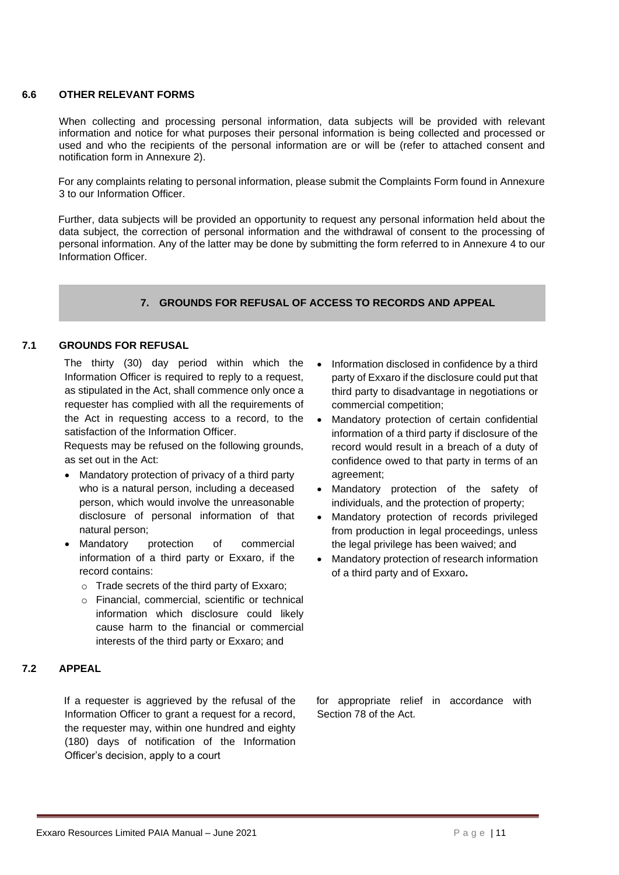#### **6.6 OTHER RELEVANT FORMS**

When collecting and processing personal information, data subjects will be provided with relevant information and notice for what purposes their personal information is being collected and processed or used and who the recipients of the personal information are or will be (refer to attached consent and notification form in Annexure 2).

For any complaints relating to personal information, please submit the Complaints Form found in Annexure 3 to our Information Officer.

Further, data subjects will be provided an opportunity to request any personal information held about the data subject, the correction of personal information and the withdrawal of consent to the processing of personal information. Any of the latter may be done by submitting the form referred to in Annexure 4 to our Information Officer.

#### **7. GROUNDS FOR REFUSAL OF ACCESS TO RECORDS AND APPEAL**

#### <span id="page-10-0"></span>**7.1 GROUNDS FOR REFUSAL**

The thirty (30) day period within which the Information Officer is required to reply to a request, as stipulated in the Act, shall commence only once a requester has complied with all the requirements of the Act in requesting access to a record, to the satisfaction of the Information Officer.

Requests may be refused on the following grounds, as set out in the Act:

- Mandatory protection of privacy of a third party who is a natural person, including a deceased person, which would involve the unreasonable disclosure of personal information of that natural person;
- Mandatory protection of commercial information of a third party or Exxaro, if the record contains:
	- o Trade secrets of the third party of Exxaro;
	- o Financial, commercial, scientific or technical information which disclosure could likely cause harm to the financial or commercial interests of the third party or Exxaro; and

#### **7.2 APPEAL**

If a requester is aggrieved by the refusal of the Information Officer to grant a request for a record, the requester may, within one hundred and eighty (180) days of notification of the Information Officer's decision, apply to a court

- Information disclosed in confidence by a third party of Exxaro if the disclosure could put that third party to disadvantage in negotiations or commercial competition;
- Mandatory protection of certain confidential information of a third party if disclosure of the record would result in a breach of a duty of confidence owed to that party in terms of an agreement;
- Mandatory protection of the safety of individuals, and the protection of property;
- Mandatory protection of records privileged from production in legal proceedings, unless the legal privilege has been waived; and
- Mandatory protection of research information of a third party and of Exxaro**.**

for appropriate relief in accordance with Section 78 of the Act.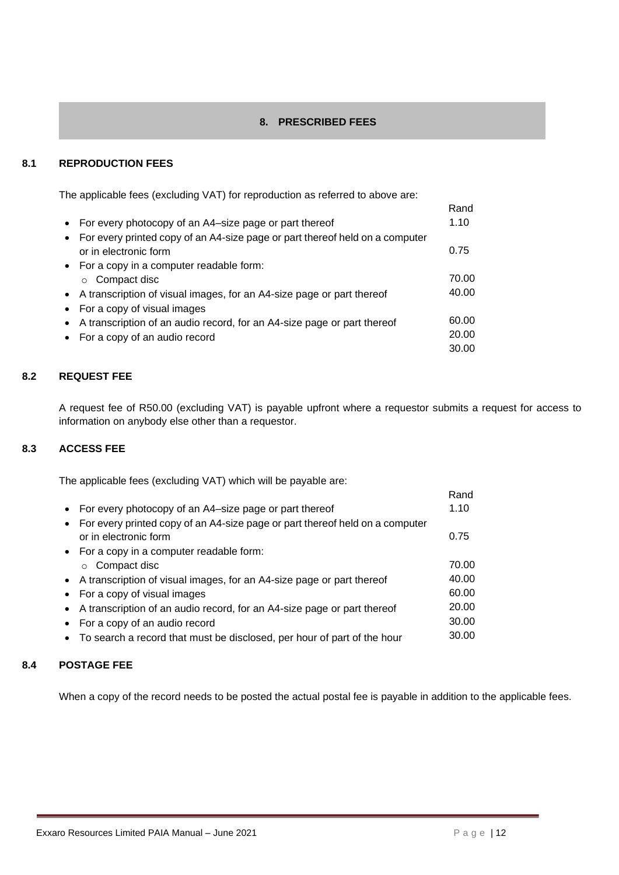#### **8. PRESCRIBED FEES**

#### <span id="page-11-0"></span>**8.1 REPRODUCTION FEES**

The applicable fees (excluding VAT) for reproduction as referred to above are:

|                                                                              | Rand  |
|------------------------------------------------------------------------------|-------|
| For every photocopy of an A4–size page or part thereof                       | 1.10  |
| For every printed copy of an A4-size page or part thereof held on a computer |       |
| or in electronic form                                                        | 0.75  |
| • For a copy in a computer readable form:                                    |       |
| Compact disc<br>$\circ$                                                      | 70.00 |
| • A transcription of visual images, for an A4-size page or part thereof      | 40.00 |
| For a copy of visual images                                                  |       |
| A transcription of an audio record, for an A4-size page or part thereof      | 60.00 |
| • For a copy of an audio record                                              | 20.00 |
|                                                                              | 30.00 |

#### **8.2 REQUEST FEE**

A request fee of R50.00 (excluding VAT) is payable upfront where a requestor submits a request for access to information on anybody else other than a requestor.

#### **8.3 ACCESS FEE**

The applicable fees (excluding VAT) which will be payable are:

| • For every photocopy of an A4-size page or part thereof                     | 1.10  |
|------------------------------------------------------------------------------|-------|
| For every printed copy of an A4-size page or part thereof held on a computer |       |
| or in electronic form                                                        | 0.75  |
| • For a copy in a computer readable form:                                    |       |
| Compact disc<br>$\Omega$                                                     | 70.00 |
| • A transcription of visual images, for an A4-size page or part thereof      | 40.00 |
| For a copy of visual images                                                  | 60.00 |
| A transcription of an audio record, for an A4-size page or part thereof      | 20.00 |
| For a copy of an audio record                                                | 30.00 |
| To search a record that must be disclosed, per hour of part of the hour      | 30.00 |
|                                                                              |       |

#### **8.4 POSTAGE FEE**

When a copy of the record needs to be posted the actual postal fee is payable in addition to the applicable fees.

Rand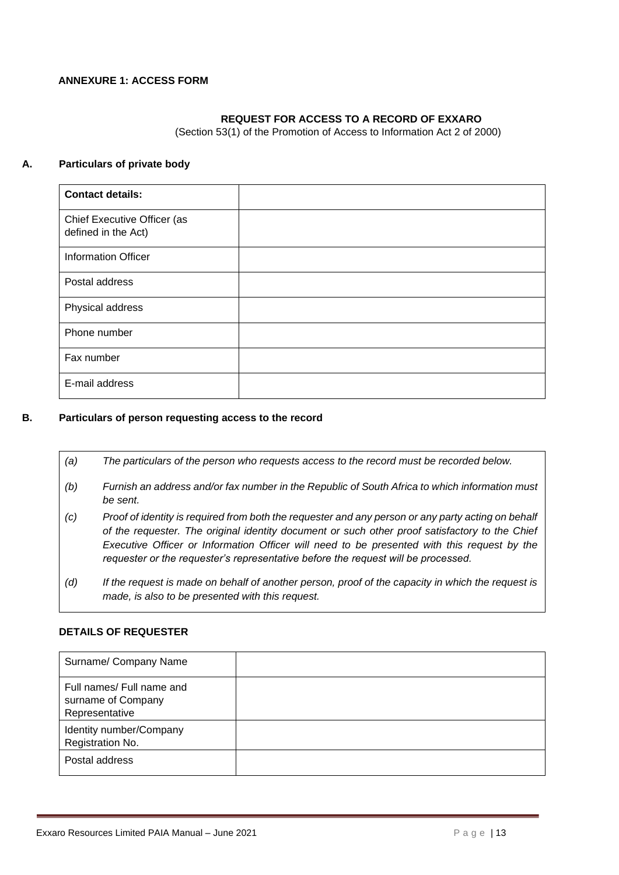#### <span id="page-12-0"></span>**ANNEXURE 1: ACCESS FORM**

#### **REQUEST FOR ACCESS TO A RECORD OF EXXARO**

(Section 53(1) of the Promotion of Access to Information Act 2 of 2000)

#### **A. Particulars of private body**

| <b>Contact details:</b>                            |  |
|----------------------------------------------------|--|
| Chief Executive Officer (as<br>defined in the Act) |  |
| <b>Information Officer</b>                         |  |
| Postal address                                     |  |
| Physical address                                   |  |
| Phone number                                       |  |
| Fax number                                         |  |
| E-mail address                                     |  |

#### **B. Particulars of person requesting access to the record**

- *(a) The particulars of the person who requests access to the record must be recorded below.*
- *(b) Furnish an address and/or fax number in the Republic of South Africa to which information must be sent.*
- *(c) Proof of identity is required from both the requester and any person or any party acting on behalf of the requester. The original identity document or such other proof satisfactory to the Chief Executive Officer or Information Officer will need to be presented with this request by the requester or the requester's representative before the request will be processed.*
- *(d) If the request is made on behalf of another person, proof of the capacity in which the request is made, is also to be presented with this request.*

#### **DETAILS OF REQUESTER**

| Surname/ Company Name                                             |  |
|-------------------------------------------------------------------|--|
| Full names/ Full name and<br>surname of Company<br>Representative |  |
| Identity number/Company<br>Registration No.                       |  |
| Postal address                                                    |  |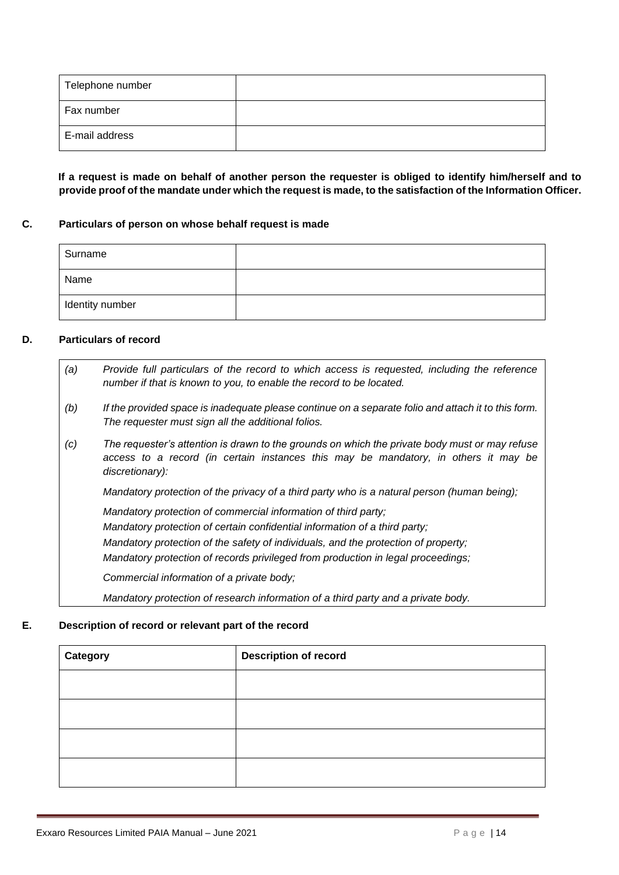| Telephone number |  |
|------------------|--|
| Fax number       |  |
| E-mail address   |  |

**If a request is made on behalf of another person the requester is obliged to identify him/herself and to provide proof of the mandate under which the request is made, to the satisfaction of the Information Officer.** 

#### **C. Particulars of person on whose behalf request is made**

| Surname         |  |
|-----------------|--|
| Name            |  |
| Identity number |  |

#### **D. Particulars of record**

- *(a) Provide full particulars of the record to which access is requested, including the reference number if that is known to you, to enable the record to be located.*
- *(b) If the provided space is inadequate please continue on a separate folio and attach it to this form. The requester must sign all the additional folios.*
- *(c) The requester's attention is drawn to the grounds on which the private body must or may refuse access to a record (in certain instances this may be mandatory, in others it may be discretionary):*

Mandatory protection of the privacy of a third party who is a natural person (human being);

o *Mandatory protection of commercial information of third party;* 

Mandatory protection of certain confidential information of a third party;

*Mandatory protection of the safety of individuals, and the protection of property;* 

o *Mandatory protection of records privileged from production in legal proceedings;* 

Commercial information of a private body;

o *Mandatory protection of research information of a third party and a private body.*

#### **E. Description of record or relevant part of the record**

| Category | <b>Description of record</b> |  |  |  |  |
|----------|------------------------------|--|--|--|--|
|          |                              |  |  |  |  |
|          |                              |  |  |  |  |
|          |                              |  |  |  |  |
|          |                              |  |  |  |  |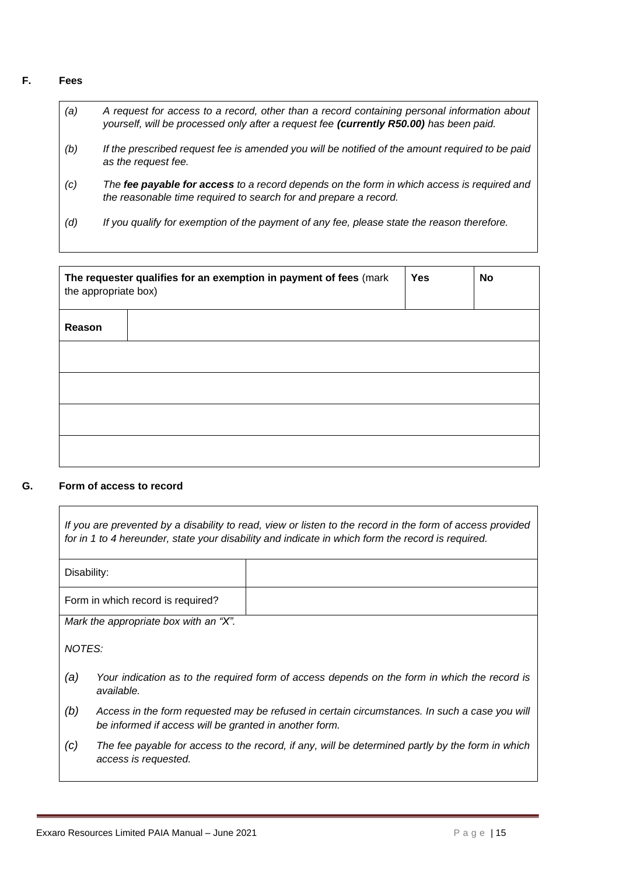#### **F. Fees**

- *(a) A request for access to a record, other than a record containing personal information about yourself, will be processed only after a request fee (currently R50.00) has been paid.*
- *(b) If the prescribed request fee is amended you will be notified of the amount required to be paid as the request fee.*
- *(c) The fee payable for access to a record depends on the form in which access is required and the reasonable time required to search for and prepare a record.*
- *(d) If you qualify for exemption of the payment of any fee, please state the reason therefore.*

| the appropriate box) | The requester qualifies for an exemption in payment of fees (mark | <b>Yes</b> | <b>No</b> |
|----------------------|-------------------------------------------------------------------|------------|-----------|
| Reason               |                                                                   |            |           |
|                      |                                                                   |            |           |
|                      |                                                                   |            |           |
|                      |                                                                   |            |           |
|                      |                                                                   |            |           |

#### **G. Form of access to record**

| If you are prevented by a disability to read, view or listen to the record in the form of access provided<br>for in 1 to 4 hereunder, state your disability and indicate in which form the record is required. |                                                                                                                                                         |  |  |  |  |
|----------------------------------------------------------------------------------------------------------------------------------------------------------------------------------------------------------------|---------------------------------------------------------------------------------------------------------------------------------------------------------|--|--|--|--|
| Disability:                                                                                                                                                                                                    |                                                                                                                                                         |  |  |  |  |
|                                                                                                                                                                                                                | Form in which record is required?                                                                                                                       |  |  |  |  |
|                                                                                                                                                                                                                | Mark the appropriate box with an "X".                                                                                                                   |  |  |  |  |
| NOTES:                                                                                                                                                                                                         |                                                                                                                                                         |  |  |  |  |
| (a)                                                                                                                                                                                                            | Your indication as to the required form of access depends on the form in which the record is<br>available.                                              |  |  |  |  |
| (b)                                                                                                                                                                                                            | Access in the form requested may be refused in certain circumstances. In such a case you will<br>be informed if access will be granted in another form. |  |  |  |  |
|                                                                                                                                                                                                                |                                                                                                                                                         |  |  |  |  |

*(c) The fee payable for access to the record, if any, will be determined partly by the form in which access is requested.*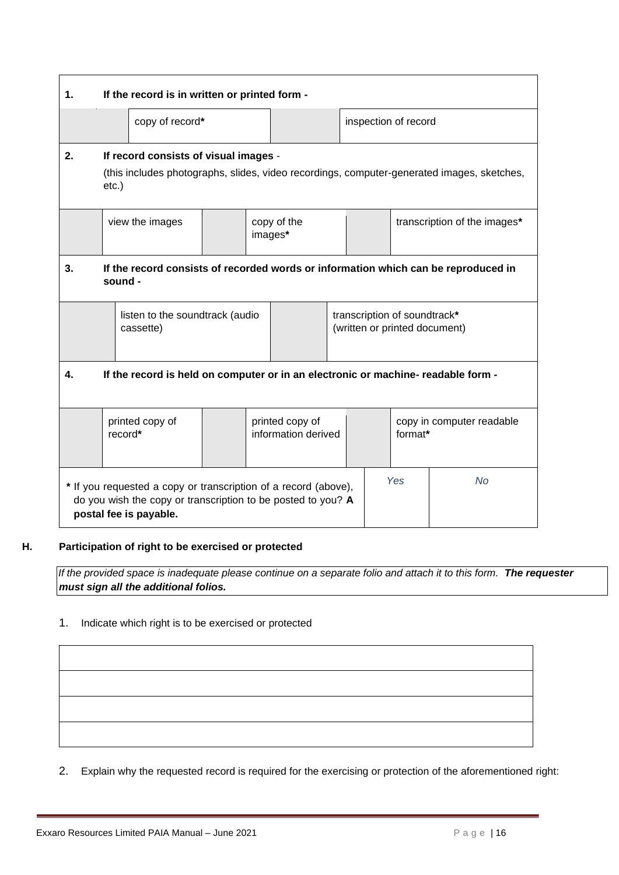| $\mathbf 1$ . | If the record is in written or printed form -                                                                                                                                 |                                                                                   |  |                      |  |                              |  |  |  |
|---------------|-------------------------------------------------------------------------------------------------------------------------------------------------------------------------------|-----------------------------------------------------------------------------------|--|----------------------|--|------------------------------|--|--|--|
|               | copy of record*                                                                                                                                                               |                                                                                   |  | inspection of record |  |                              |  |  |  |
| 2.            | If record consists of visual images -<br>(this includes photographs, slides, video recordings, computer-generated images, sketches,<br>$etc.$ )                               |                                                                                   |  |                      |  |                              |  |  |  |
|               | copy of the<br>view the images<br>images*                                                                                                                                     |                                                                                   |  |                      |  | transcription of the images* |  |  |  |
| 3.            | If the record consists of recorded words or information which can be reproduced in<br>sound -                                                                                 |                                                                                   |  |                      |  |                              |  |  |  |
|               | transcription of soundtrack*<br>listen to the soundtrack (audio<br>(written or printed document)<br>cassette)                                                                 |                                                                                   |  |                      |  |                              |  |  |  |
| 4.            |                                                                                                                                                                               | If the record is held on computer or in an electronic or machine- readable form - |  |                      |  |                              |  |  |  |
|               | printed copy of<br>printed copy of<br>copy in computer readable<br>information derived<br>record*<br>format*                                                                  |                                                                                   |  |                      |  |                              |  |  |  |
|               | Yes<br><b>No</b><br>* If you requested a copy or transcription of a record (above),<br>do you wish the copy or transcription to be posted to you? A<br>postal fee is payable. |                                                                                   |  |                      |  |                              |  |  |  |

#### **H. Participation of right to be exercised or protected**

*If the provided space is inadequate please continue on a separate folio and attach it to this form.* **The requester** *must sign all the additional folios.*

#### 1. Indicate which right is to be exercised or protected

2. Explain why the requested record is required for the exercising or protection of the aforementioned right: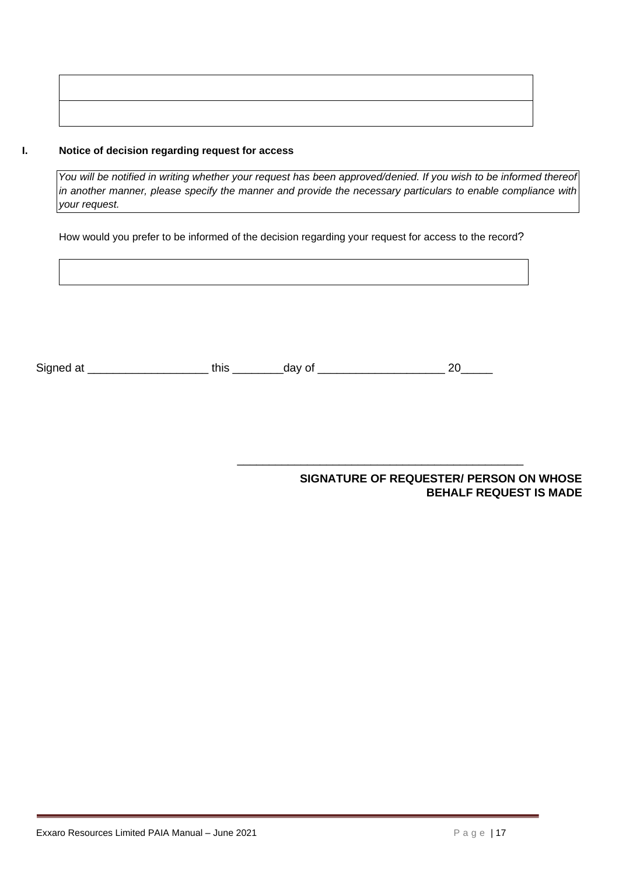#### **I. Notice of decision regarding request for access**

*You will be notified in writing whether your request has been approved/denied. If you wish to be informed thereof in another manner, please specify the manner and provide the necessary particulars to enable compliance with your request.* 

How would you prefer to be informed of the decision regarding your request for access to the record?

| Sian<br>- - | . | _ |
|-------------|---|---|
|             |   |   |

**SIGNATURE OF REQUESTER/ PERSON ON WHOSE BEHALF REQUEST IS MADE** 

\_\_\_\_\_\_\_\_\_\_\_\_\_\_\_\_\_\_\_\_\_\_\_\_\_\_\_\_\_\_\_\_\_\_\_\_\_\_\_\_\_\_\_\_\_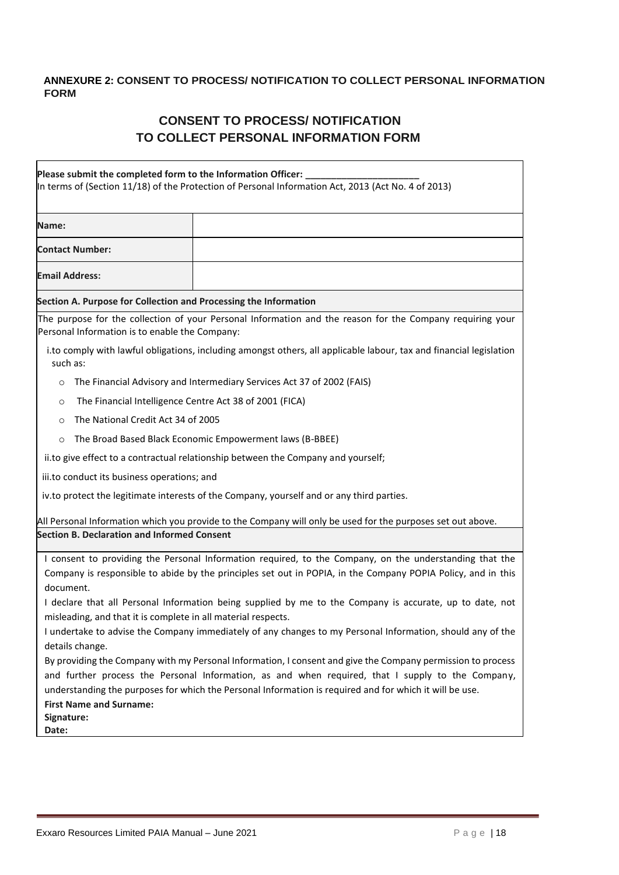#### <span id="page-17-0"></span>**ANNEXURE 2: CONSENT TO PROCESS/ NOTIFICATION TO COLLECT PERSONAL INFORMATION FORM**

### **CONSENT TO PROCESS/ NOTIFICATION TO COLLECT PERSONAL INFORMATION FORM**

| Please submit the completed form to the Information Officer:                                                                                                                                                                                                                                                                | In terms of (Section 11/18) of the Protection of Personal Information Act, 2013 (Act No. 4 of 2013)                 |  |  |  |
|-----------------------------------------------------------------------------------------------------------------------------------------------------------------------------------------------------------------------------------------------------------------------------------------------------------------------------|---------------------------------------------------------------------------------------------------------------------|--|--|--|
| Name:                                                                                                                                                                                                                                                                                                                       |                                                                                                                     |  |  |  |
| <b>Contact Number:</b>                                                                                                                                                                                                                                                                                                      |                                                                                                                     |  |  |  |
| <b>Email Address:</b>                                                                                                                                                                                                                                                                                                       |                                                                                                                     |  |  |  |
| Section A. Purpose for Collection and Processing the Information                                                                                                                                                                                                                                                            |                                                                                                                     |  |  |  |
| Personal Information is to enable the Company:                                                                                                                                                                                                                                                                              | The purpose for the collection of your Personal Information and the reason for the Company requiring your           |  |  |  |
| such as:                                                                                                                                                                                                                                                                                                                    | i.to comply with lawful obligations, including amongst others, all applicable labour, tax and financial legislation |  |  |  |
| $\circ$                                                                                                                                                                                                                                                                                                                     | The Financial Advisory and Intermediary Services Act 37 of 2002 (FAIS)                                              |  |  |  |
| The Financial Intelligence Centre Act 38 of 2001 (FICA)<br>$\circ$                                                                                                                                                                                                                                                          |                                                                                                                     |  |  |  |
| $\circ$                                                                                                                                                                                                                                                                                                                     | The National Credit Act 34 of 2005                                                                                  |  |  |  |
| $\circ$                                                                                                                                                                                                                                                                                                                     | The Broad Based Black Economic Empowerment laws (B-BBEE)                                                            |  |  |  |
|                                                                                                                                                                                                                                                                                                                             | ii.to give effect to a contractual relationship between the Company and yourself;                                   |  |  |  |
| iii.to conduct its business operations; and                                                                                                                                                                                                                                                                                 |                                                                                                                     |  |  |  |
|                                                                                                                                                                                                                                                                                                                             | iv.to protect the legitimate interests of the Company, yourself and or any third parties.                           |  |  |  |
| <b>Section B. Declaration and Informed Consent</b>                                                                                                                                                                                                                                                                          | All Personal Information which you provide to the Company will only be used for the purposes set out above.         |  |  |  |
|                                                                                                                                                                                                                                                                                                                             | I consent to providing the Personal Information required, to the Company, on the understanding that the             |  |  |  |
| Company is responsible to abide by the principles set out in POPIA, in the Company POPIA Policy, and in this<br>document.                                                                                                                                                                                                   |                                                                                                                     |  |  |  |
| I declare that all Personal Information being supplied by me to the Company is accurate, up to date, not<br>misleading, and that it is complete in all material respects.                                                                                                                                                   |                                                                                                                     |  |  |  |
| I undertake to advise the Company immediately of any changes to my Personal Information, should any of the<br>details change.                                                                                                                                                                                               |                                                                                                                     |  |  |  |
| By providing the Company with my Personal Information, I consent and give the Company permission to process<br>and further process the Personal Information, as and when required, that I supply to the Company,<br>understanding the purposes for which the Personal Information is required and for which it will be use. |                                                                                                                     |  |  |  |
| <b>First Name and Surname:</b><br>Signature:<br>Date:                                                                                                                                                                                                                                                                       |                                                                                                                     |  |  |  |

 $\overline{\phantom{a}}$ 

٦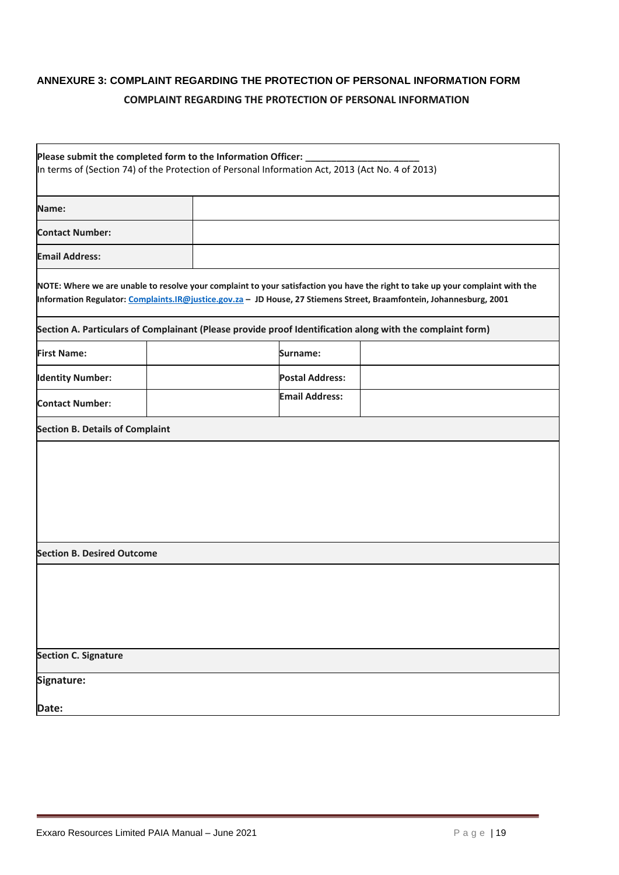### <span id="page-18-0"></span>**ANNEXURE 3: COMPLAINT REGARDING THE PROTECTION OF PERSONAL INFORMATION FORM COMPLAINT REGARDING THE PROTECTION OF PERSONAL INFORMATION**

| Please submit the completed form to the Information Officer:<br>In terms of (Section 74) of the Protection of Personal Information Act, 2013 (Act No. 4 of 2013) |  |  |                        |                                                                                                                                                                                                                                                        |
|------------------------------------------------------------------------------------------------------------------------------------------------------------------|--|--|------------------------|--------------------------------------------------------------------------------------------------------------------------------------------------------------------------------------------------------------------------------------------------------|
| Name:                                                                                                                                                            |  |  |                        |                                                                                                                                                                                                                                                        |
| <b>Contact Number:</b>                                                                                                                                           |  |  |                        |                                                                                                                                                                                                                                                        |
| <b>Email Address:</b>                                                                                                                                            |  |  |                        |                                                                                                                                                                                                                                                        |
|                                                                                                                                                                  |  |  |                        | NOTE: Where we are unable to resolve your complaint to your satisfaction you have the right to take up your complaint with the<br>Information Regulator: Complaints.IR@justice.gov.za - JD House, 27 Stiemens Street, Braamfontein, Johannesburg, 2001 |
|                                                                                                                                                                  |  |  |                        | Section A. Particulars of Complainant (Please provide proof Identification along with the complaint form)                                                                                                                                              |
| <b>First Name:</b>                                                                                                                                               |  |  | Surname:               |                                                                                                                                                                                                                                                        |
| <b>Identity Number:</b>                                                                                                                                          |  |  | <b>Postal Address:</b> |                                                                                                                                                                                                                                                        |
| <b>Contact Number:</b>                                                                                                                                           |  |  | <b>Email Address:</b>  |                                                                                                                                                                                                                                                        |
| <b>Section B. Details of Complaint</b>                                                                                                                           |  |  |                        |                                                                                                                                                                                                                                                        |
|                                                                                                                                                                  |  |  |                        |                                                                                                                                                                                                                                                        |
| <b>Section B. Desired Outcome</b>                                                                                                                                |  |  |                        |                                                                                                                                                                                                                                                        |
|                                                                                                                                                                  |  |  |                        |                                                                                                                                                                                                                                                        |
| <b>Section C. Signature</b>                                                                                                                                      |  |  |                        |                                                                                                                                                                                                                                                        |
| Signature:                                                                                                                                                       |  |  |                        |                                                                                                                                                                                                                                                        |
| Date:                                                                                                                                                            |  |  |                        |                                                                                                                                                                                                                                                        |